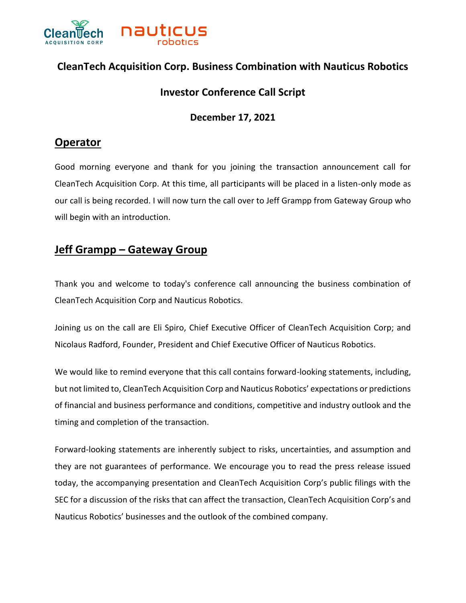

## **CleanTech Acquisition Corp. Business Combination with Nauticus Robotics**

#### **Investor Conference Call Script**

#### **December 17, 2021**

#### **Operator**

Good morning everyone and thank for you joining the transaction announcement call for CleanTech Acquisition Corp. At this time, all participants will be placed in a listen-only mode as our call is being recorded. I will now turn the call over to Jeff Grampp from Gateway Group who will begin with an introduction.

### **Jeff Grampp – Gateway Group**

Thank you and welcome to today's conference call announcing the business combination of CleanTech Acquisition Corp and Nauticus Robotics.

Joining us on the call are Eli Spiro, Chief Executive Officer of CleanTech Acquisition Corp; and Nicolaus Radford, Founder, President and Chief Executive Officer of Nauticus Robotics.

We would like to remind everyone that this call contains forward-looking statements, including, but not limited to, CleanTech Acquisition Corp and Nauticus Robotics' expectations or predictions of financial and business performance and conditions, competitive and industry outlook and the timing and completion of the transaction.

Forward-looking statements are inherently subject to risks, uncertainties, and assumption and they are not guarantees of performance. We encourage you to read the press release issued today, the accompanying presentation and CleanTech Acquisition Corp's public filings with the SEC for a discussion of the risks that can affect the transaction, CleanTech Acquisition Corp's and Nauticus Robotics' businesses and the outlook of the combined company.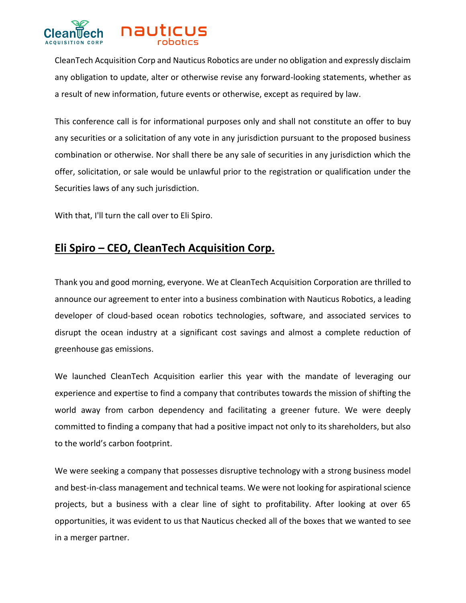

CleanTech Acquisition Corp and Nauticus Robotics are under no obligation and expressly disclaim any obligation to update, alter or otherwise revise any forward-looking statements, whether as a result of new information, future events or otherwise, except as required by law.

This conference call is for informational purposes only and shall not constitute an offer to buy any securities or a solicitation of any vote in any jurisdiction pursuant to the proposed business combination or otherwise. Nor shall there be any sale of securities in any jurisdiction which the offer, solicitation, or sale would be unlawful prior to the registration or qualification under the Securities laws of any such jurisdiction.

With that, I'll turn the call over to Eli Spiro.

## **Eli Spiro – CEO, CleanTech Acquisition Corp.**

Thank you and good morning, everyone. We at CleanTech Acquisition Corporation are thrilled to announce our agreement to enter into a business combination with Nauticus Robotics, a leading developer of cloud-based ocean robotics technologies, software, and associated services to disrupt the ocean industry at a significant cost savings and almost a complete reduction of greenhouse gas emissions.

We launched CleanTech Acquisition earlier this year with the mandate of leveraging our experience and expertise to find a company that contributes towards the mission of shifting the world away from carbon dependency and facilitating a greener future. We were deeply committed to finding a company that had a positive impact not only to its shareholders, but also to the world's carbon footprint.

We were seeking a company that possesses disruptive technology with a strong business model and best-in-class management and technical teams. We were not looking for aspirational science projects, but a business with a clear line of sight to profitability. After looking at over 65 opportunities, it was evident to us that Nauticus checked all of the boxes that we wanted to see in a merger partner.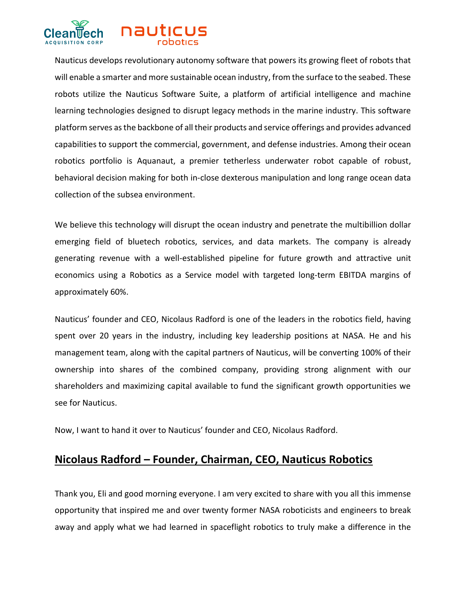

Nauticus develops revolutionary autonomy software that powers its growing fleet of robots that will enable a smarter and more sustainable ocean industry, from the surface to the seabed. These robots utilize the Nauticus Software Suite, a platform of artificial intelligence and machine learning technologies designed to disrupt legacy methods in the marine industry. This software platform serves as the backbone of all their products and service offerings and provides advanced capabilities to support the commercial, government, and defense industries. Among their ocean robotics portfolio is Aquanaut, a premier tetherless underwater robot capable of robust, behavioral decision making for both in-close dexterous manipulation and long range ocean data collection of the subsea environment.

We believe this technology will disrupt the ocean industry and penetrate the multibillion dollar emerging field of bluetech robotics, services, and data markets. The company is already generating revenue with a well-established pipeline for future growth and attractive unit economics using a Robotics as a Service model with targeted long-term EBITDA margins of approximately 60%.

Nauticus' founder and CEO, Nicolaus Radford is one of the leaders in the robotics field, having spent over 20 years in the industry, including key leadership positions at NASA. He and his management team, along with the capital partners of Nauticus, will be converting 100% of their ownership into shares of the combined company, providing strong alignment with our shareholders and maximizing capital available to fund the significant growth opportunities we see for Nauticus.

Now, I want to hand it over to Nauticus' founder and CEO, Nicolaus Radford.

#### **Nicolaus Radford – Founder, Chairman, CEO, Nauticus Robotics**

Thank you, Eli and good morning everyone. I am very excited to share with you all this immense opportunity that inspired me and over twenty former NASA roboticists and engineers to break away and apply what we had learned in spaceflight robotics to truly make a difference in the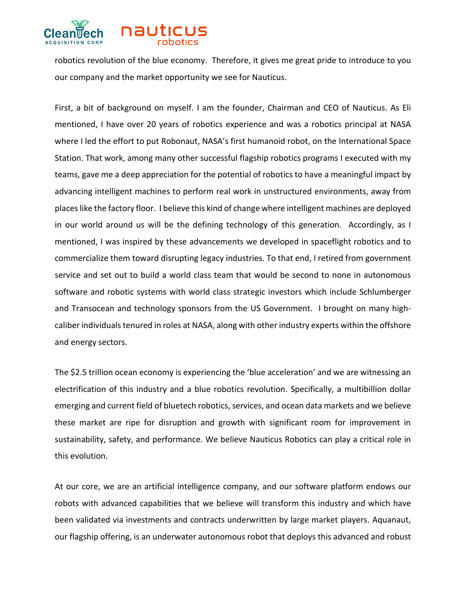

robotics revolution of the blue economy. Therefore, it gives me great pride to introduce to you our company and the market opportunity we see for Nauticus.

First, a bit of background on myself. I am the founder, Chairman and CEO of Nauticus. As Eli mentioned, I have over 20 years of robotics experience and was a robotics principal at NASA where I led the effort to put Robonaut, NASA's first humanoid robot, on the International Space Station. That work, among many other successful flagship robotics programs I executed with my teams, gave me a deep appreciation for the potential of robotics to have a meaningful impact by advancing intelligent machines to perform real work in unstructured environments, away from places like the factory floor. I believe this kind of change where intelligent machines are deployed in our world around us will be the defining technology of this generation. Accordingly, as I mentioned, I was inspired by these advancements we developed in spaceflight robotics and to commercialize them toward disrupting legacy industries. To that end, I retired from government service and set out to build a world class team that would be second to none in autonomous software and robotic systems with world class strategic investors which include Schlumberger and Transocean and technology sponsors from the US Government. I brought on many highcaliber individuals tenured in roles at NASA, along with other industry experts within the offshore and energy sectors.

The \$2.5 trillion ocean economy is experiencing the 'blue acceleration' and we are witnessing an electrification of this industry and a blue robotics revolution. Specifically, a multibillion dollar emerging and current field of bluetech robotics, services, and ocean data markets and we believe these market are ripe for disruption and growth with significant room for improvement in sustainability, safety, and performance. We believe Nauticus Robotics can play a critical role in this evolution.

At our core, we are an artificial intelligence company, and our software platform endows our robots with advanced capabilities that we believe will transform this industry and which have been validated via investments and contracts underwritten by large market players. Aquanaut, our flagship offering, is an underwater autonomous robot that deploys this advanced and robust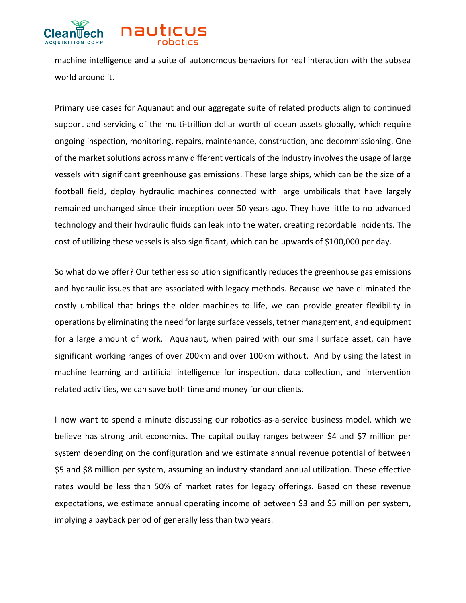

machine intelligence and a suite of autonomous behaviors for real interaction with the subsea world around it.

Primary use cases for Aquanaut and our aggregate suite of related products align to continued support and servicing of the multi-trillion dollar worth of ocean assets globally, which require ongoing inspection, monitoring, repairs, maintenance, construction, and decommissioning. One of the market solutions across many different verticals of the industry involves the usage of large vessels with significant greenhouse gas emissions. These large ships, which can be the size of a football field, deploy hydraulic machines connected with large umbilicals that have largely remained unchanged since their inception over 50 years ago. They have little to no advanced technology and their hydraulic fluids can leak into the water, creating recordable incidents. The cost of utilizing these vessels is also significant, which can be upwards of \$100,000 per day.

So what do we offer? Our tetherless solution significantly reduces the greenhouse gas emissions and hydraulic issues that are associated with legacy methods. Because we have eliminated the costly umbilical that brings the older machines to life, we can provide greater flexibility in operations by eliminating the need for large surface vessels, tether management, and equipment for a large amount of work. Aquanaut, when paired with our small surface asset, can have significant working ranges of over 200km and over 100km without. And by using the latest in machine learning and artificial intelligence for inspection, data collection, and intervention related activities, we can save both time and money for our clients.

I now want to spend a minute discussing our robotics-as-a-service business model, which we believe has strong unit economics. The capital outlay ranges between \$4 and \$7 million per system depending on the configuration and we estimate annual revenue potential of between \$5 and \$8 million per system, assuming an industry standard annual utilization. These effective rates would be less than 50% of market rates for legacy offerings. Based on these revenue expectations, we estimate annual operating income of between \$3 and \$5 million per system, implying a payback period of generally less than two years.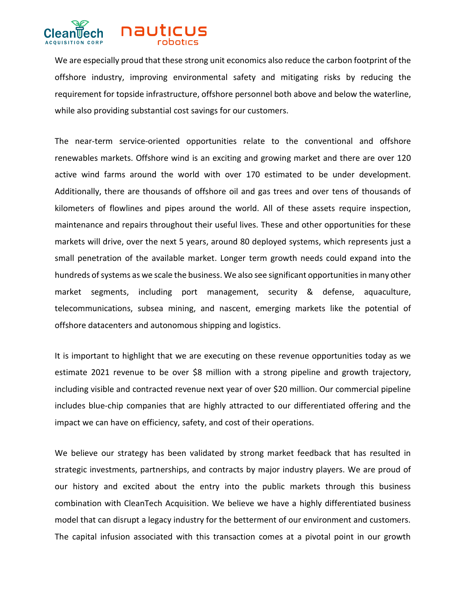

We are especially proud that these strong unit economics also reduce the carbon footprint of the offshore industry, improving environmental safety and mitigating risks by reducing the requirement for topside infrastructure, offshore personnel both above and below the waterline, while also providing substantial cost savings for our customers.

The near-term service-oriented opportunities relate to the conventional and offshore renewables markets. Offshore wind is an exciting and growing market and there are over 120 active wind farms around the world with over 170 estimated to be under development. Additionally, there are thousands of offshore oil and gas trees and over tens of thousands of kilometers of flowlines and pipes around the world. All of these assets require inspection, maintenance and repairs throughout their useful lives. These and other opportunities for these markets will drive, over the next 5 years, around 80 deployed systems, which represents just a small penetration of the available market. Longer term growth needs could expand into the hundreds of systems as we scale the business. We also see significant opportunities in many other market segments, including port management, security & defense, aquaculture, telecommunications, subsea mining, and nascent, emerging markets like the potential of offshore datacenters and autonomous shipping and logistics.

It is important to highlight that we are executing on these revenue opportunities today as we estimate 2021 revenue to be over \$8 million with a strong pipeline and growth trajectory, including visible and contracted revenue next year of over \$20 million. Our commercial pipeline includes blue-chip companies that are highly attracted to our differentiated offering and the impact we can have on efficiency, safety, and cost of their operations.

We believe our strategy has been validated by strong market feedback that has resulted in strategic investments, partnerships, and contracts by major industry players. We are proud of our history and excited about the entry into the public markets through this business combination with CleanTech Acquisition. We believe we have a highly differentiated business model that can disrupt a legacy industry for the betterment of our environment and customers. The capital infusion associated with this transaction comes at a pivotal point in our growth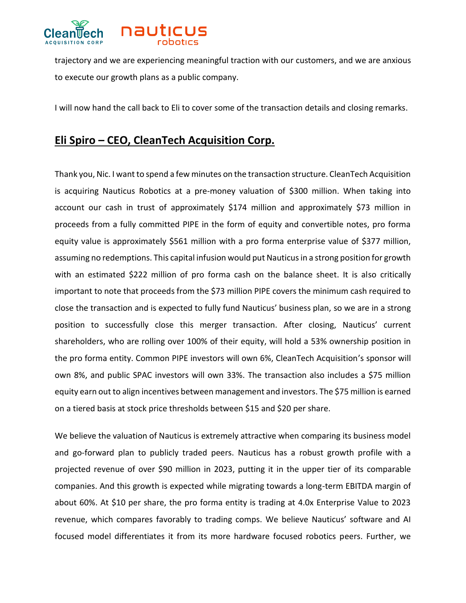

trajectory and we are experiencing meaningful traction with our customers, and we are anxious to execute our growth plans as a public company.

I will now hand the call back to Eli to cover some of the transaction details and closing remarks.

# **Eli Spiro – CEO, CleanTech Acquisition Corp.**

Thank you, Nic. I want to spend a few minutes on the transaction structure. CleanTech Acquisition is acquiring Nauticus Robotics at a pre-money valuation of \$300 million. When taking into account our cash in trust of approximately \$174 million and approximately \$73 million in proceeds from a fully committed PIPE in the form of equity and convertible notes, pro forma equity value is approximately \$561 million with a pro forma enterprise value of \$377 million, assuming no redemptions. This capital infusion would put Nauticus in a strong position for growth with an estimated \$222 million of pro forma cash on the balance sheet. It is also critically important to note that proceeds from the \$73 million PIPE covers the minimum cash required to close the transaction and is expected to fully fund Nauticus' business plan, so we are in a strong position to successfully close this merger transaction. After closing, Nauticus' current shareholders, who are rolling over 100% of their equity, will hold a 53% ownership position in the pro forma entity. Common PIPE investors will own 6%, CleanTech Acquisition's sponsor will own 8%, and public SPAC investors will own 33%. The transaction also includes a \$75 million equity earn out to align incentives between management and investors. The \$75 million is earned on a tiered basis at stock price thresholds between \$15 and \$20 per share.

We believe the valuation of Nauticus is extremely attractive when comparing its business model and go-forward plan to publicly traded peers. Nauticus has a robust growth profile with a projected revenue of over \$90 million in 2023, putting it in the upper tier of its comparable companies. And this growth is expected while migrating towards a long-term EBITDA margin of about 60%. At \$10 per share, the pro forma entity is trading at 4.0x Enterprise Value to 2023 revenue, which compares favorably to trading comps. We believe Nauticus' software and AI focused model differentiates it from its more hardware focused robotics peers. Further, we